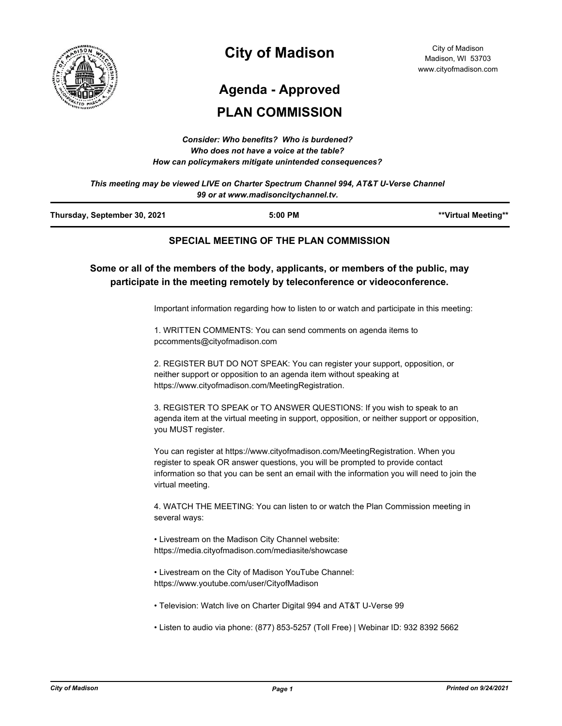

# **City of Madison**

## **Agenda - Approved**

### **PLAN COMMISSION**

| Consider: Who benefits? Who is burdened?               |
|--------------------------------------------------------|
| Who does not have a voice at the table?                |
| How can policymakers mitigate unintended consequences? |

*This meeting may be viewed LIVE on Charter Spectrum Channel 994, AT&T U-Verse Channel 99 or at www.madisoncitychannel.tv.*

| Thursday, September 30, 2021 | 5:00 PM | **Virtual Meeting** |
|------------------------------|---------|---------------------|
|                              |         |                     |

### **SPECIAL MEETING OF THE PLAN COMMISSION**

**Some or all of the members of the body, applicants, or members of the public, may participate in the meeting remotely by teleconference or videoconference.**

Important information regarding how to listen to or watch and participate in this meeting:

1. WRITTEN COMMENTS: You can send comments on agenda items to pccomments@cityofmadison.com

2. REGISTER BUT DO NOT SPEAK: You can register your support, opposition, or neither support or opposition to an agenda item without speaking at https://www.cityofmadison.com/MeetingRegistration.

3. REGISTER TO SPEAK or TO ANSWER QUESTIONS: If you wish to speak to an agenda item at the virtual meeting in support, opposition, or neither support or opposition, you MUST register.

You can register at https://www.cityofmadison.com/MeetingRegistration. When you register to speak OR answer questions, you will be prompted to provide contact information so that you can be sent an email with the information you will need to join the virtual meeting.

4. WATCH THE MEETING: You can listen to or watch the Plan Commission meeting in several ways:

• Livestream on the Madison City Channel website: https://media.cityofmadison.com/mediasite/showcase

• Livestream on the City of Madison YouTube Channel: https://www.youtube.com/user/CityofMadison

- Television: Watch live on Charter Digital 994 and AT&T U-Verse 99
- Listen to audio via phone: (877) 853-5257 (Toll Free) | Webinar ID: 932 8392 5662